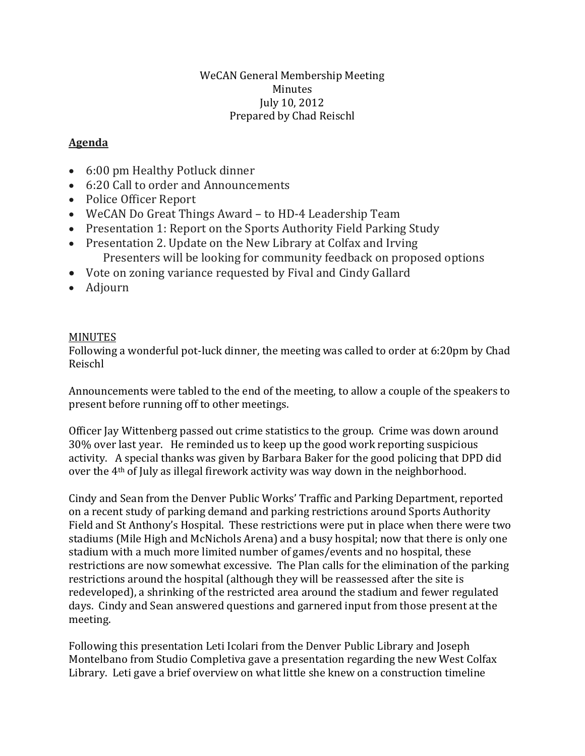## WeCAN General Membership Meeting Minutes July 10, 2012 Prepared by Chad Reischl

## **Agenda**

- 6:00 pm Healthy Potluck dinner
- 6:20 Call to order and Announcements
- Police Officer Report
- WeCAN Do Great Things Award to HD-4 Leadership Team
- Presentation 1: Report on the Sports Authority Field Parking Study
- Presentation 2. Update on the New Library at Colfax and Irving Presenters will be looking for community feedback on proposed options
- Vote on zoning variance requested by Fival and Cindy Gallard
- Adjourn

## MINUTES

Following a wonderful pot-luck dinner, the meeting was called to order at 6:20pm by Chad Reischl

Announcements were tabled to the end of the meeting, to allow a couple of the speakers to present before running off to other meetings.

Officer Jay Wittenberg passed out crime statistics to the group. Crime was down around 30% over last year. He reminded us to keep up the good work reporting suspicious activity. A special thanks was given by Barbara Baker for the good policing that DPD did over the 4th of July as illegal firework activity was way down in the neighborhood.

Cindy and Sean from the Denver Public Works' Traffic and Parking Department, reported on a recent study of parking demand and parking restrictions around Sports Authority Field and St Anthony's Hospital. These restrictions were put in place when there were two stadiums (Mile High and McNichols Arena) and a busy hospital; now that there is only one stadium with a much more limited number of games/events and no hospital, these restrictions are now somewhat excessive. The Plan calls for the elimination of the parking restrictions around the hospital (although they will be reassessed after the site is redeveloped), a shrinking of the restricted area around the stadium and fewer regulated days. Cindy and Sean answered questions and garnered input from those present at the meeting.

Following this presentation Leti Icolari from the Denver Public Library and Joseph Montelbano from Studio Completiva gave a presentation regarding the new West Colfax Library. Leti gave a brief overview on what little she knew on a construction timeline